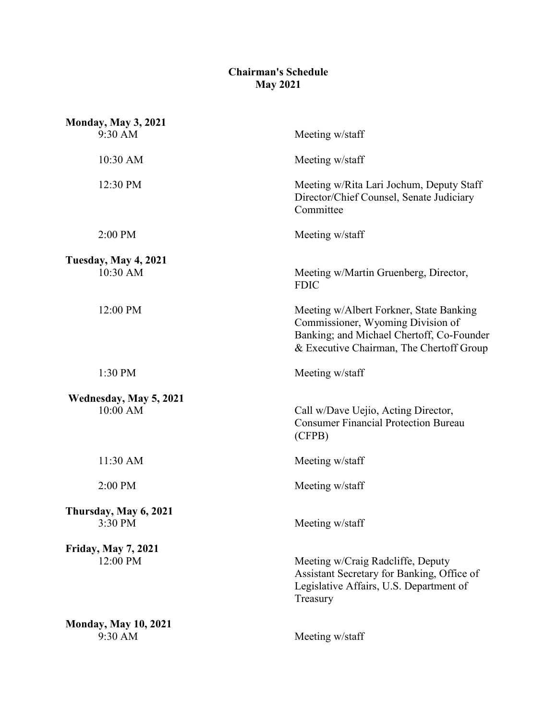## **Chairman's Schedule May 2021**

| <b>Monday, May 3, 2021</b>             |                                                                                                                                                                       |
|----------------------------------------|-----------------------------------------------------------------------------------------------------------------------------------------------------------------------|
| 9:30 AM                                | Meeting w/staff                                                                                                                                                       |
| 10:30 AM                               | Meeting w/staff                                                                                                                                                       |
| 12:30 PM                               | Meeting w/Rita Lari Jochum, Deputy Staff<br>Director/Chief Counsel, Senate Judiciary<br>Committee                                                                     |
| 2:00 PM                                | Meeting w/staff                                                                                                                                                       |
| Tuesday, May 4, 2021<br>10:30 AM       | Meeting w/Martin Gruenberg, Director,<br><b>FDIC</b>                                                                                                                  |
| 12:00 PM                               | Meeting w/Albert Forkner, State Banking<br>Commissioner, Wyoming Division of<br>Banking; and Michael Chertoff, Co-Founder<br>& Executive Chairman, The Chertoff Group |
| 1:30 PM                                | Meeting w/staff                                                                                                                                                       |
| Wednesday, May 5, 2021<br>10:00 AM     | Call w/Dave Uejio, Acting Director,<br><b>Consumer Financial Protection Bureau</b><br>(CFPB)                                                                          |
| 11:30 AM                               | Meeting w/staff                                                                                                                                                       |
| 2:00 PM                                | Meeting w/staff                                                                                                                                                       |
| Thursday, May 6, 2021<br>3:30 PM       | Meeting w/staff                                                                                                                                                       |
| <b>Friday, May 7, 2021</b><br>12:00 PM | Meeting w/Craig Radcliffe, Deputy<br>Assistant Secretary for Banking, Office of<br>Legislative Affairs, U.S. Department of<br>Treasury                                |
| <b>Monday, May 10, 2021</b><br>9:30 AM | Meeting w/staff                                                                                                                                                       |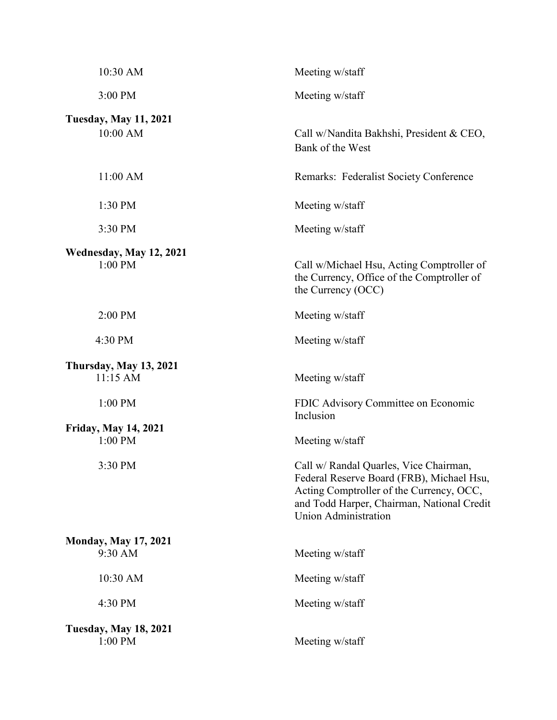| 10:30 AM                                  | Meeting w/staff                                                                                                                                                                                       |
|-------------------------------------------|-------------------------------------------------------------------------------------------------------------------------------------------------------------------------------------------------------|
| 3:00 PM                                   | Meeting w/staff                                                                                                                                                                                       |
| <b>Tuesday, May 11, 2021</b><br>10:00 AM  | Call w/Nandita Bakhshi, President & CEO,<br>Bank of the West                                                                                                                                          |
| 11:00 AM                                  | Remarks: Federalist Society Conference                                                                                                                                                                |
| 1:30 PM                                   | Meeting w/staff                                                                                                                                                                                       |
| 3:30 PM                                   | Meeting w/staff                                                                                                                                                                                       |
| Wednesday, May 12, 2021<br>1:00 PM        | Call w/Michael Hsu, Acting Comptroller of<br>the Currency, Office of the Comptroller of<br>the Currency (OCC)                                                                                         |
| 2:00 PM                                   | Meeting w/staff                                                                                                                                                                                       |
| 4:30 PM                                   | Meeting w/staff                                                                                                                                                                                       |
| <b>Thursday, May 13, 2021</b><br>11:15 AM | Meeting w/staff                                                                                                                                                                                       |
| 1:00 PM                                   | FDIC Advisory Committee on Economic<br>Inclusion                                                                                                                                                      |
| <b>Friday, May 14, 2021</b><br>$1:00$ PM  | Meeting w/staff                                                                                                                                                                                       |
| 3:30 PM                                   | Call w/ Randal Quarles, Vice Chairman,<br>Federal Reserve Board (FRB), Michael Hsu,<br>Acting Comptroller of the Currency, OCC,<br>and Todd Harper, Chairman, National Credit<br>Union Administration |
| <b>Monday, May 17, 2021</b><br>9:30 AM    | Meeting w/staff                                                                                                                                                                                       |
| 10:30 AM                                  | Meeting w/staff                                                                                                                                                                                       |
| 4:30 PM                                   | Meeting w/staff                                                                                                                                                                                       |
| <b>Tuesday, May 18, 2021</b><br>1:00 PM   | Meeting w/staff                                                                                                                                                                                       |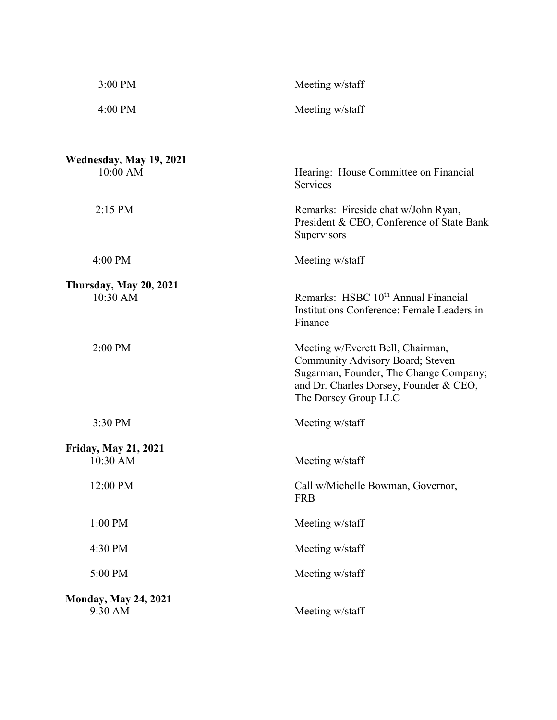| 3:00 PM                                 | Meeting w/staff                                                                                                                                                                   |
|-----------------------------------------|-----------------------------------------------------------------------------------------------------------------------------------------------------------------------------------|
| 4:00 PM                                 | Meeting w/staff                                                                                                                                                                   |
| Wednesday, May 19, 2021<br>10:00 AM     | Hearing: House Committee on Financial                                                                                                                                             |
|                                         | Services                                                                                                                                                                          |
| 2:15 PM                                 | Remarks: Fireside chat w/John Ryan,<br>President & CEO, Conference of State Bank<br>Supervisors                                                                                   |
| 4:00 PM                                 | Meeting w/staff                                                                                                                                                                   |
| <b>Thursday, May 20, 2021</b>           |                                                                                                                                                                                   |
| 10:30 AM                                | Remarks: HSBC 10 <sup>th</sup> Annual Financial<br>Institutions Conference: Female Leaders in<br>Finance                                                                          |
| 2:00 PM                                 | Meeting w/Everett Bell, Chairman,<br>Community Advisory Board; Steven<br>Sugarman, Founder, The Change Company;<br>and Dr. Charles Dorsey, Founder & CEO,<br>The Dorsey Group LLC |
| 3:30 PM                                 | Meeting w/staff                                                                                                                                                                   |
| <b>Friday, May 21, 2021</b><br>10:30 AM | Meeting w/staff                                                                                                                                                                   |
| 12:00 PM                                | Call w/Michelle Bowman, Governor,<br><b>FRB</b>                                                                                                                                   |
| 1:00 PM                                 | Meeting w/staff                                                                                                                                                                   |
| 4:30 PM                                 | Meeting w/staff                                                                                                                                                                   |
| 5:00 PM                                 | Meeting w/staff                                                                                                                                                                   |
| <b>Monday, May 24, 2021</b><br>9:30 AM  | Meeting w/staff                                                                                                                                                                   |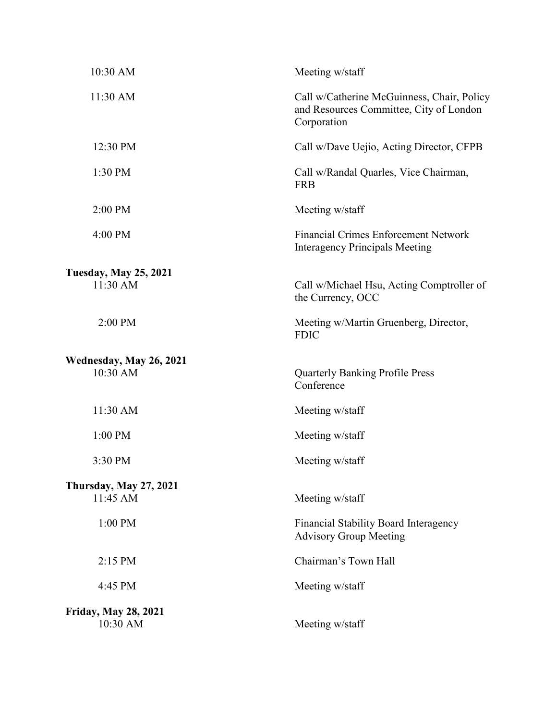| 10:30 AM                                | Meeting w/staff                                                                                      |
|-----------------------------------------|------------------------------------------------------------------------------------------------------|
| 11:30 AM                                | Call w/Catherine McGuinness, Chair, Policy<br>and Resources Committee, City of London<br>Corporation |
| 12:30 PM                                | Call w/Dave Uejio, Acting Director, CFPB                                                             |
| 1:30 PM                                 | Call w/Randal Quarles, Vice Chairman,<br><b>FRB</b>                                                  |
| 2:00 PM                                 | Meeting w/staff                                                                                      |
| 4:00 PM                                 | <b>Financial Crimes Enforcement Network</b><br><b>Interagency Principals Meeting</b>                 |
| <b>Tuesday, May 25, 2021</b>            |                                                                                                      |
| 11:30 AM                                | Call w/Michael Hsu, Acting Comptroller of<br>the Currency, OCC                                       |
| 2:00 PM                                 | Meeting w/Martin Gruenberg, Director,<br><b>FDIC</b>                                                 |
| Wednesday, May 26, 2021<br>10:30 AM     | <b>Quarterly Banking Profile Press</b><br>Conference                                                 |
| 11:30 AM                                | Meeting w/staff                                                                                      |
| 1:00 PM                                 | Meeting w/staff                                                                                      |
| 3:30 PM                                 | Meeting w/staff                                                                                      |
| <b>Thursday, May 27, 2021</b>           |                                                                                                      |
| 11:45 AM                                | Meeting w/staff                                                                                      |
| 1:00 PM                                 | Financial Stability Board Interagency<br><b>Advisory Group Meeting</b>                               |
| $2:15$ PM                               | Chairman's Town Hall                                                                                 |
| 4:45 PM                                 | Meeting w/staff                                                                                      |
| <b>Friday, May 28, 2021</b><br>10:30 AM | Meeting w/staff                                                                                      |